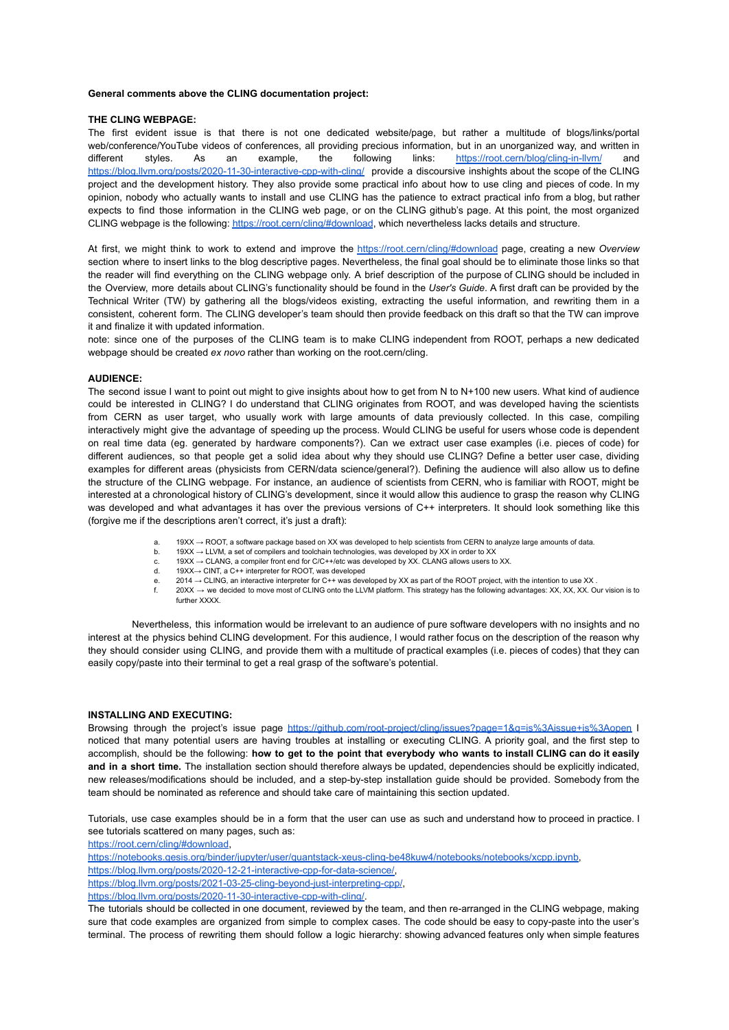#### **General comments above the CLING documentation project:**

### **THE CLING WEBPAGE:**

The first evident issue is that there is not one dedicated website/page, but rather a multitude of blogs/links/portal web/conference/YouTube videos of conferences, all providing precious information, but in an unorganized way, and written in different styles. As an example, the following links: <https://root.cern/blog/cling-in-llvm/> and <https://blog.llvm.org/posts/2020-11-30-interactive-cpp-with-cling/> provide a discoursive inshights about the scope of the CLING project and the development history. They also provide some practical info about how to use cling and pieces of code. In my opinion, nobody who actually wants to install and use CLING has the patience to extract practical info from a blog, but rather expects to find those information in the CLING web page, or on the CLING github's page. At this point, the most organized CLING webpage is the following: <https://root.cern/cling/#download>, which nevertheless lacks details and structure.

At first, we might think to work to extend and improve the <https://root.cern/cling/#download> page, creating a new *Overview* section where to insert links to the blog descriptive pages. Nevertheless, the final goal should be to eliminate those links so that the reader will find everything on the CLING webpage only. A brief description of the purpose of CLING should be included in the Overview, more details about CLING's functionality should be found in the *User's Guide*. A first draft can be provided by the Technical Writer (TW) by gathering all the blogs/videos existing, extracting the useful information, and rewriting them in a consistent, coherent form. The CLING developer's team should then provide feedback on this draft so that the TW can improve it and finalize it with updated information.

note: since one of the purposes of the CLING team is to make CLING independent from ROOT, perhaps a new dedicated webpage should be created *ex novo* rather than working on the root.cern/cling.

#### **AUDIENCE:**

The second issue I want to point out might to give insights about how to get from N to N+100 new users. What kind of audience could be interested in CLING? I do understand that CLING originates from ROOT, and was developed having the scientists from CERN as user target, who usually work with large amounts of data previously collected. In this case, compiling interactively might give the advantage of speeding up the process. Would CLING be useful for users whose code is dependent on real time data (eg. generated by hardware components?). Can we extract user case examples (i.e. pieces of code) for different audiences, so that people get a solid idea about why they should use CLING? Define a better user case, dividing examples for different areas (physicists from CERN/data science/general?). Defining the audience will also allow us to define the structure of the CLING webpage. For instance, an audience of scientists from CERN, who is familiar with ROOT, might be interested at a chronological history of CLING's development, since it would allow this audience to grasp the reason why CLING was developed and what advantages it has over the previous versions of C++ interpreters. It should look something like this (forgive me if the descriptions aren't correct, it's just a draft):

- 19XX → ROOT, a software package based on XX was developed to help scientists from CERN to analyze large amounts of data.
- b. 19XX → LLVM, a set of compilers and toolchain technologies, was developed by XX in order to XX
- c.  $19XX \rightarrow$  CLANG, a compiler front end for C/C++/etc was developed by XX. CLANG allows users to XX.
- d. 19XX→ CINT, a C++ interpreter for ROOT, was developed
- e. 2014 → CLING, an interactive interpreter for C++ was developed by XX as part of the ROOT project, with the intention to use XX . f. 20XX → we decided to move most of CLING onto the LLVM platform. This strategy has the following advantages: XX, XX, XX. Our vision is to further **XXXX**

Nevertheless, this information would be irrelevant to an audience of pure software developers with no insights and no interest at the physics behind CLING development. For this audience, I would rather focus on the description of the reason why they should consider using CLING, and provide them with a multitude of practical examples (i.e. pieces of codes) that they can easily copy/paste into their terminal to get a real grasp of the software's potential.

### **INSTALLING AND EXECUTING:**

Browsing through the project's issue page https://github.com/root-project/cling/issues?page=1&g=is%3Aissue+is%3Aopen I noticed that many potential users are having troubles at installing or executing CLING. A priority goal, and the first step to accomplish, should be the following: how to get to the point that everybody who wants to install CLING can do it easily **and in a short time.** The installation section should therefore always be updated, dependencies should be explicitly indicated, new releases/modifications should be included, and a step-by-step installation guide should be provided. Somebody from the team should be nominated as reference and should take care of maintaining this section updated.

Tutorials, use case examples should be in a form that the user can use as such and understand how to proceed in practice. I see tutorials scattered on many pages, such as:

<https://root.cern/cling/#download>,

<https://notebooks.gesis.org/binder/jupyter/user/quantstack-xeus-cling-be48kuw4/notebooks/notebooks/xcpp.ipynb>,

[https://blog.llvm.org/posts/2020-12-21-interactive-cpp-for-data-science/,](https://blog.llvm.org/posts/2020-12-21-interactive-cpp-for-data-science/)

<https://blog.llvm.org/posts/2021-03-25-cling-beyond-just-interpreting-cpp/>,

[https://blog.llvm.org/posts/2020-11-30-interactive-cpp-with-cling/.](https://blog.llvm.org/posts/2020-11-30-interactive-cpp-with-cling/)

The tutorials should be collected in one document, reviewed by the team, and then re-arranged in the CLING webpage, making sure that code examples are organized from simple to complex cases. The code should be easy to copy-paste into the user's terminal. The process of rewriting them should follow a logic hierarchy: showing advanced features only when simple features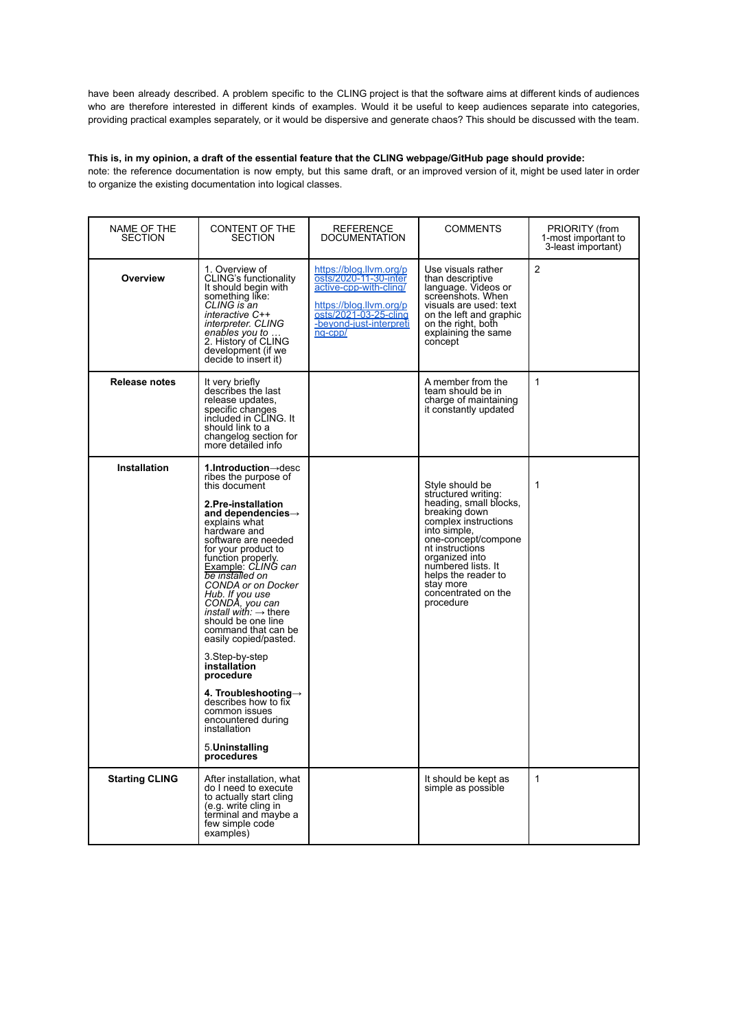have been already described. A problem specific to the CLING project is that the software aims at different kinds of audiences who are therefore interested in different kinds of examples. Would it be useful to keep audiences separate into categories, providing practical examples separately, or it would be dispersive and generate chaos? This should be discussed with the team.

## This is, in my opinion, a draft of the essential feature that the CLING webpage/GitHub page should provide:

note: the reference documentation is now empty, but this same draft, or an improved version of it, might be used later in order to organize the existing documentation into logical classes.

| NAME OF THE<br><b>SECTION</b> | CONTENT OF THE<br><b>SECTION</b>                                                                                                                                                                                                                                                                                                                                                                                                                                                                                                                                                                                                                          | <b>REFERENCE</b><br><b>DOCUMENTATION</b>                                                                                                                             | COMMENTS                                                                                                                                                                                                                                                                            | PRIORITY (from<br>1-most important to<br>3-least important) |
|-------------------------------|-----------------------------------------------------------------------------------------------------------------------------------------------------------------------------------------------------------------------------------------------------------------------------------------------------------------------------------------------------------------------------------------------------------------------------------------------------------------------------------------------------------------------------------------------------------------------------------------------------------------------------------------------------------|----------------------------------------------------------------------------------------------------------------------------------------------------------------------|-------------------------------------------------------------------------------------------------------------------------------------------------------------------------------------------------------------------------------------------------------------------------------------|-------------------------------------------------------------|
| Overview                      | 1. Overview of<br>CLING's functionality<br>It should begin with<br>something like:<br>CLING is an<br>interactive C++<br>interpreter. CLING<br>enables you to .<br>2. History of CLING<br>development (if we<br>decide to insert it)                                                                                                                                                                                                                                                                                                                                                                                                                       | https://blog.llvm.org/p<br>osts/2020-11-30-inter<br>active-cpp-with-cling/<br>https://blog.llvm.org/p<br>osts/2021-03-25-cling<br>-beyond-just-interpreti<br>ng-cpp/ | Use visuals rather<br>than descriptive<br>language. Videos or<br>screenshots. When<br>visuals are used: text<br>on the left and graphic<br>on the right, both<br>explaining the same<br>concept                                                                                     | $\overline{2}$                                              |
| Release notes                 | It very briefly<br>describes the last<br>release updates,<br>specific changes<br>included in CLING. It<br>should link to a<br>changelog section for<br>more detailed info                                                                                                                                                                                                                                                                                                                                                                                                                                                                                 |                                                                                                                                                                      | A member from the<br>team should be in<br>charge of maintaining<br>it constantly updated                                                                                                                                                                                            | $\mathbf{1}$                                                |
| <b>Installation</b>           | 1.Introduction $\rightarrow$ desc<br>ribes the purpose of<br>this document<br>2.Pre-installation<br>and dependencies $\rightarrow$<br>explains what<br>hardware and<br>software are needed<br>for your product to<br>function properly.<br>Example: CLING can<br>be installed on<br>CONDA or on Docker<br>Hub. If you use<br>CONDA, you can<br>install with: $\rightarrow$ there<br>should be one line<br>command that can be<br>easily copied/pasted.<br>3.Step-by-step<br>installation<br>procedure<br>4. Troubleshooting $\rightarrow$<br>describes how to fix<br>common issues<br>encountered during<br>installation<br>5. Uninstalling<br>procedures |                                                                                                                                                                      | Style should be<br>structured writing:<br>heading, small blocks,<br>breaking down<br>complex instructions<br>into simple,<br>one-concept/compone<br>nt instructions<br>organized into<br>numbered lists. It<br>helps the reader to<br>stay more<br>concentrated on the<br>procedure | $\mathbf{1}$                                                |
| <b>Starting CLING</b>         | After installation, what<br>do I need to execute<br>to actually start cling<br>(e.g. write cling in<br>terminal and maybe a<br>few simple code<br>examples)                                                                                                                                                                                                                                                                                                                                                                                                                                                                                               |                                                                                                                                                                      | It should be kept as<br>simple as possible                                                                                                                                                                                                                                          | $\mathbf{1}$                                                |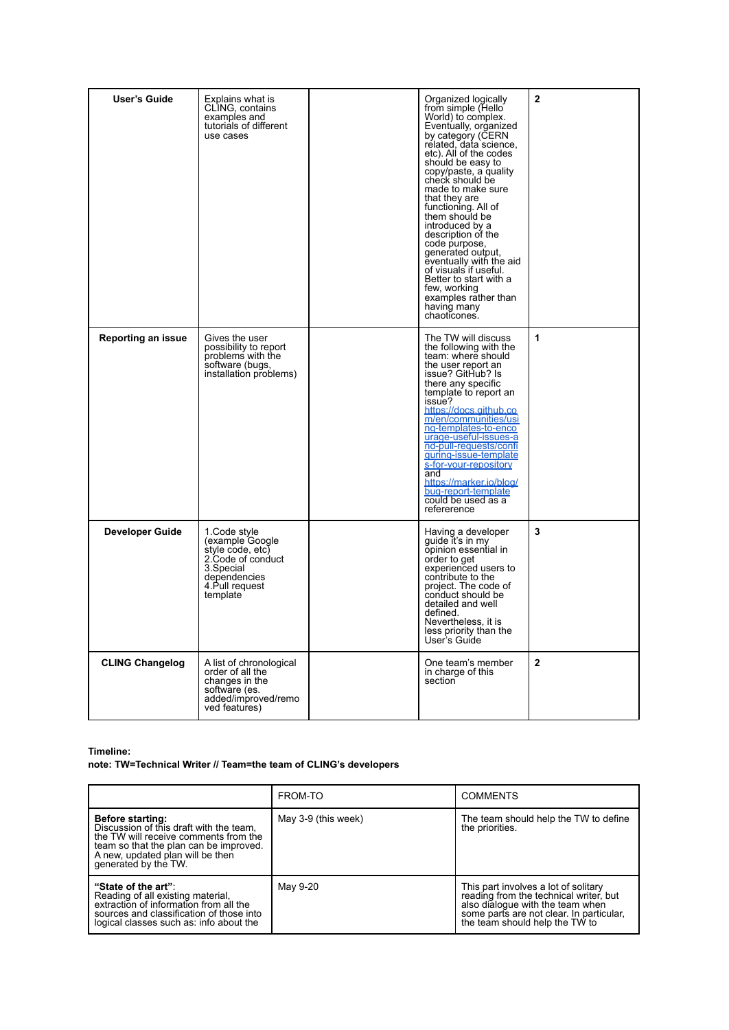| User's Guide           | Explains what is<br>CLING, contains<br>examples and<br>tutorials of different<br>use cases                                          | Organized logically<br>from simple (Hello<br>World) to complex.<br>Eventually, organized<br>by category (CERN<br>related, data science,<br>etc). All of the codes<br>should be easy to<br>copy/paste, a quality<br>check should be<br>made to make sure<br>that they are<br>functioning. All of<br>them should be<br>introduced by a<br>description of the<br>code purpose,<br>generated output.<br>eventually with the aid<br>of visuals if useful.<br>Better to start with a<br>few, working<br>examples rather than<br>having many<br>chaoticones. | $\overline{2}$ |
|------------------------|-------------------------------------------------------------------------------------------------------------------------------------|-------------------------------------------------------------------------------------------------------------------------------------------------------------------------------------------------------------------------------------------------------------------------------------------------------------------------------------------------------------------------------------------------------------------------------------------------------------------------------------------------------------------------------------------------------|----------------|
| Reporting an issue     | Gives the user<br>possibility to report<br>problems with the<br>software (bugs,<br>installation problems)                           | The TW will discuss<br>the following with the<br>team: where should<br>the user report an<br>issue? GitHub? Is<br>there any specific<br>template to report an<br>issue?<br>https://docs.github.co<br>m/en/communities/usi<br>ng-templates-to-enco<br>urage-useful-issues-a<br>nd-pull-requests/confi<br>guring-issue-template<br>s-for-your-repository<br>and<br>https://marker.jo/blog/<br>bug-report-template<br>could be used as a<br>refererence                                                                                                  | 1              |
| <b>Developer Guide</b> | 1.Code style<br>(example Google<br>style code, etc)<br>2.Code of conduct<br>3.Special<br>dependencies<br>4 Pull request<br>template | Having a developer<br>quide it's in my<br>opinion essential in<br>order to get<br>experienced users to<br>contribute to the<br>project. The code of<br>conduct should be<br>detailed and well<br>defined.<br>Nevertheless, it is<br>less priority than the<br>User's Guide                                                                                                                                                                                                                                                                            | 3              |
| <b>CLING Changelog</b> | A list of chronological<br>order of all the<br>changes in the<br>software (es.<br>added/improved/remo<br>ved features)              | One team's member<br>in charge of this<br>section                                                                                                                                                                                                                                                                                                                                                                                                                                                                                                     | $\mathbf{2}$   |

### **Timeline:**

# **note: TW=Technical Writer // Team=the team of CLING's developers**

|                                                                                                                                                                                                                  | FROM-TO             | <b>COMMENTS</b>                                                                                                                                                                                  |
|------------------------------------------------------------------------------------------------------------------------------------------------------------------------------------------------------------------|---------------------|--------------------------------------------------------------------------------------------------------------------------------------------------------------------------------------------------|
| <b>Before starting:</b><br>Discussion of this draft with the team.<br>the TW will receive comments from the<br>team so that the plan can be improved.<br>A new, updated plan will be then<br>generated by the TW | May 3-9 (this week) | The team should help the TW to define<br>the priorities.                                                                                                                                         |
| "State of the art":<br>Reading of all existing material,<br>extraction of information from all the<br>sources and classification of those into<br>logical classes such as: info about the                        | May 9-20            | This part involves a lot of solitary<br>reading from the technical writer, but<br>also dialogue with the team when<br>some parts are not clear. In particular,<br>the team should help the TW to |